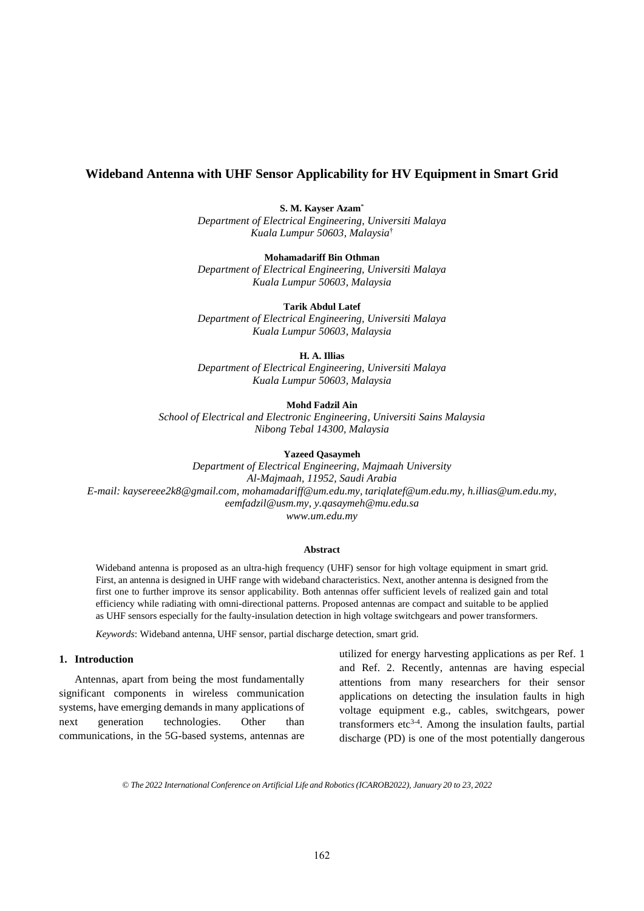# **Wideband Antenna with UHF Sensor Applicability for HV Equipment in Smart Grid**

**S. M. Kayser Azam**\*

*Department of Electrical Engineering, Universiti Malaya Kuala Lumpur 50603, Malaysia*†

**Mohamadariff Bin Othman** *Department of Electrical Engineering, Universiti Malaya Kuala Lumpur 50603, Malaysia*

**Tarik Abdul Latef**

*Department of Electrical Engineering, Universiti Malaya Kuala Lumpur 50603, Malaysia*

**H. A. Illias**

*Department of Electrical Engineering, Universiti Malaya Kuala Lumpur 50603, Malaysia*

**Mohd Fadzil Ain**

*School of Electrical and Electronic Engineering, Universiti Sains Malaysia Nibong Tebal 14300, Malaysia*

**Yazeed Qasaymeh**

*Department of Electrical Engineering, Majmaah University Al-Majmaah, 11952, Saudi Arabia E-mail: kaysereee2k8@gmail.com, mohamadariff@um.edu.my, tariqlatef@um.edu.my, h.illias@um.edu.my, eemfadzil@usm.my, y.qasaymeh@mu.edu.sa www.um.edu.my*

### **Abstract**

Wideband antenna is proposed as an ultra-high frequency (UHF) sensor for high voltage equipment in smart grid. First, an antenna is designed in UHF range with wideband characteristics. Next, another antenna is designed from the first one to further improve its sensor applicability. Both antennas offer sufficient levels of realized gain and total efficiency while radiating with omni-directional patterns. Proposed antennas are compact and suitable to be applied as UHF sensors especially for the faulty-insulation detection in high voltage switchgears and power transformers.

*Keywords*: Wideband antenna, UHF sensor, partial discharge detection, smart grid.

## **1. Introduction**

Antennas, apart from being the most fundamentally significant components in wireless communication systems, have emerging demands in many applications of next generation technologies. Other than communications, in the 5G-based systems, antennas are

utilized for energy harvesting applications as per Ref. 1 and Ref. 2. Recently, antennas are having especial attentions from many researchers for their sensor applications on detecting the insulation faults in high voltage equipment e.g., cables, switchgears, power transformers etc<sup>3-4</sup>. Among the insulation faults, partial discharge (PD) is one of the most potentially dangerous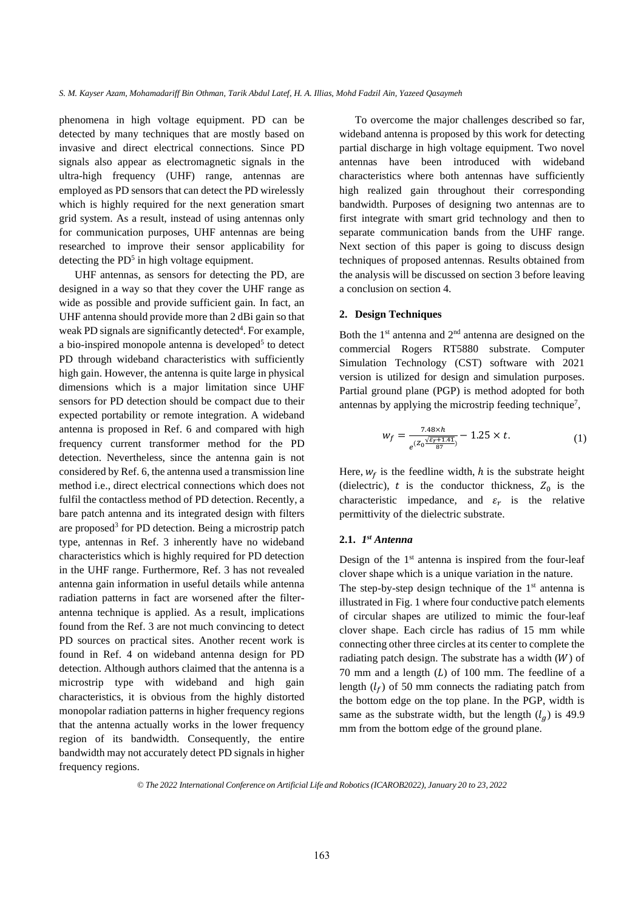phenomena in high voltage equipment. PD can be detected by many techniques that are mostly based on invasive and direct electrical connections. Since PD signals also appear as electromagnetic signals in the ultra-high frequency (UHF) range, antennas are employed as PD sensors that can detect the PD wirelessly which is highly required for the next generation smart grid system. As a result, instead of using antennas only for communication purposes, UHF antennas are being researched to improve their sensor applicability for detecting the  $PD<sup>5</sup>$  in high voltage equipment.

UHF antennas, as sensors for detecting the PD, are designed in a way so that they cover the UHF range as wide as possible and provide sufficient gain. In fact, an UHF antenna should provide more than 2 dBi gain so that weak PD signals are significantly detected<sup>4</sup>. For example, a bio-inspired monopole antenna is developed<sup>5</sup> to detect PD through wideband characteristics with sufficiently high gain. However, the antenna is quite large in physical dimensions which is a major limitation since UHF sensors for PD detection should be compact due to their expected portability or remote integration. A wideband antenna is proposed in Ref. 6 and compared with high frequency current transformer method for the PD detection. Nevertheless, since the antenna gain is not considered by Ref. 6, the antenna used a transmission line method i.e., direct electrical connections which does not fulfil the contactless method of PD detection. Recently, a bare patch antenna and its integrated design with filters are proposed<sup>3</sup> for PD detection. Being a microstrip patch type, antennas in Ref. 3 inherently have no wideband characteristics which is highly required for PD detection in the UHF range. Furthermore, Ref. 3 has not revealed antenna gain information in useful details while antenna radiation patterns in fact are worsened after the filterantenna technique is applied. As a result, implications found from the Ref. 3 are not much convincing to detect PD sources on practical sites. Another recent work is found in Ref. 4 on wideband antenna design for PD detection. Although authors claimed that the antenna is a microstrip type with wideband and high gain characteristics, it is obvious from the highly distorted monopolar radiation patterns in higher frequency regions that the antenna actually works in the lower frequency region of its bandwidth. Consequently, the entire bandwidth may not accurately detect PD signals in higher frequency regions.

To overcome the major challenges described so far, wideband antenna is proposed by this work for detecting partial discharge in high voltage equipment. Two novel antennas have been introduced with wideband characteristics where both antennas have sufficiently high realized gain throughout their corresponding bandwidth. Purposes of designing two antennas are to first integrate with smart grid technology and then to separate communication bands from the UHF range. Next section of this paper is going to discuss design techniques of proposed antennas. Results obtained from the analysis will be discussed on section 3 before leaving a conclusion on section 4.

## **2. Design Techniques**

Both the  $1<sup>st</sup>$  antenna and  $2<sup>nd</sup>$  antenna are designed on the commercial Rogers RT5880 substrate. Computer Simulation Technology (CST) software with 2021 version is utilized for design and simulation purposes. Partial ground plane (PGP) is method adopted for both antennas by applying the microstrip feeding technique<sup>7</sup>,

$$
w_f = \frac{7.48 \times h}{e^{(Z_0 \frac{\sqrt{\varepsilon_r + 1.41}}{87})}} - 1.25 \times t.
$$
 (1)

Here,  $w_f$  is the feedline width, h is the substrate height (dielectric),  $t$  is the conductor thickness,  $Z_0$  is the characteristic impedance, and  $\varepsilon_r$  is the relative permittivity of the dielectric substrate.

### **2.1.** *1 st Antenna*

Design of the 1<sup>st</sup> antenna is inspired from the four-leaf clover shape which is a unique variation in the nature.

The step-by-step design technique of the  $1<sup>st</sup>$  antenna is illustrated in Fig. 1 where four conductive patch elements of circular shapes are utilized to mimic the four-leaf clover shape. Each circle has radius of 15 mm while connecting other three circles at its center to complete the radiating patch design. The substrate has a width  $(W)$  of 70 mm and a length  $(L)$  of 100 mm. The feedline of a length  $(l_f)$  of 50 mm connects the radiating patch from the bottom edge on the top plane. In the PGP, width is same as the substrate width, but the length  $(l_q)$  is 49.9 mm from the bottom edge of the ground plane.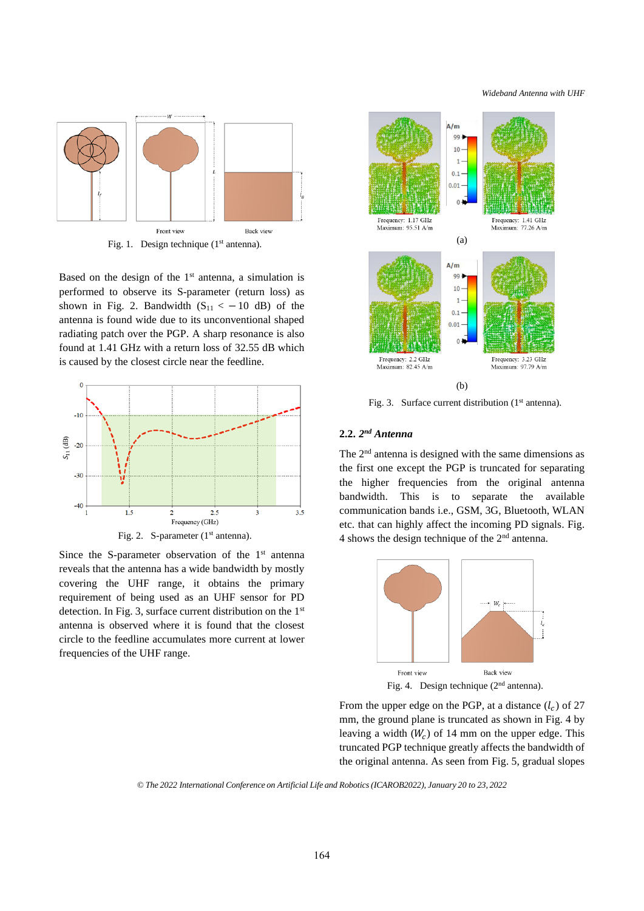*Wideband Antenna with UHF*



Fig. 1. Design technique (1<sup>st</sup> antenna).

Based on the design of the  $1<sup>st</sup>$  antenna, a simulation is performed to observe its S-parameter (return loss) as shown in Fig. 2. Bandwidth  $(S_{11} < -10$  dB) of the antenna is found wide due to its unconventional shaped radiating patch over the PGP. A sharp resonance is also found at 1.41 GHz with a return loss of 32.55 dB which is caused by the closest circle near the feedline.



Since the S-parameter observation of the  $1<sup>st</sup>$  antenna reveals that the antenna has a wide bandwidth by mostly covering the UHF range, it obtains the primary requirement of being used as an UHF sensor for PD detection. In Fig. 3, surface current distribution on the 1st antenna is observed where it is found that the closest circle to the feedline accumulates more current at lower frequencies of the UHF range.



Fig. 3. Surface current distribution (1<sup>st</sup> antenna).

## **2.2.** *2 nd Antenna*

The 2<sup>nd</sup> antenna is designed with the same dimensions as the first one except the PGP is truncated for separating the higher frequencies from the original antenna bandwidth. This is to separate the available communication bands i.e., GSM, 3G, Bluetooth, WLAN etc. that can highly affect the incoming PD signals. Fig. 4 shows the design technique of the  $2<sup>nd</sup>$  antenna.



From the upper edge on the PGP, at a distance  $(l_c)$  of 27 mm, the ground plane is truncated as shown in Fig. 4 by leaving a width  $(W_c)$  of 14 mm on the upper edge. This truncated PGP technique greatly affects the bandwidth of the original antenna. As seen from Fig. 5, gradual slopes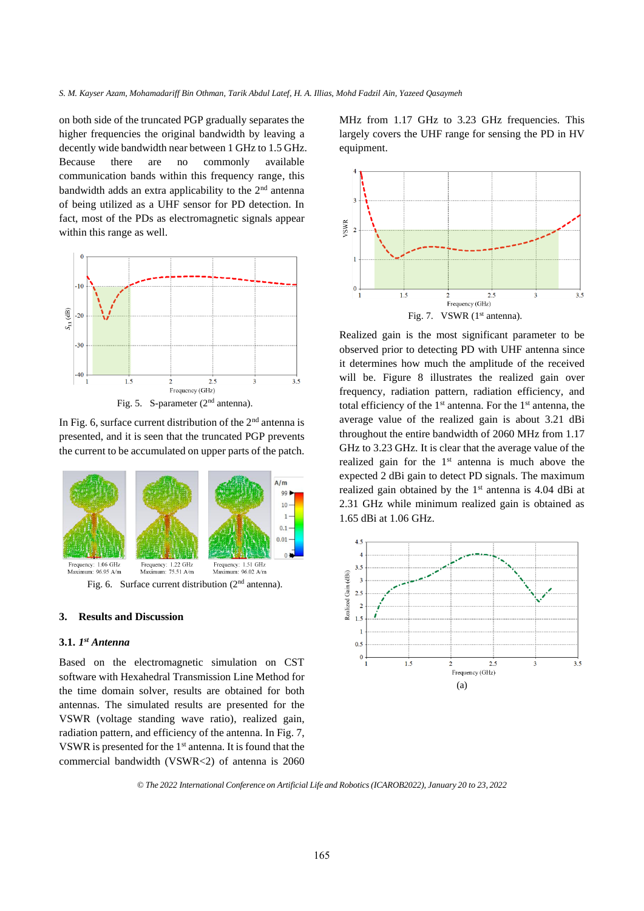on both side of the truncated PGP gradually separates the higher frequencies the original bandwidth by leaving a decently wide bandwidth near between 1 GHz to 1.5 GHz. Because there are no commonly available communication bands within this frequency range, this bandwidth adds an extra applicability to the  $2<sup>nd</sup>$  antenna of being utilized as a UHF sensor for PD detection. In fact, most of the PDs as electromagnetic signals appear within this range as well.



In Fig. 6, surface current distribution of the  $2<sup>nd</sup>$  antenna is presented, and it is seen that the truncated PGP prevents the current to be accumulated on upper parts of the patch.



#### **3. Results and Discussion**

### **3.1.** *1 st Antenna*

Based on the electromagnetic simulation on CST software with Hexahedral Transmission Line Method for the time domain solver, results are obtained for both antennas. The simulated results are presented for the VSWR (voltage standing wave ratio), realized gain, radiation pattern, and efficiency of the antenna. In Fig. 7, VSWR is presented for the 1st antenna. It is found that the commercial bandwidth (VSWR<2) of antenna is 2060 MHz from 1.17 GHz to 3.23 GHz frequencies. This largely covers the UHF range for sensing the PD in HV equipment.



Realized gain is the most significant parameter to be observed prior to detecting PD with UHF antenna since it determines how much the amplitude of the received will be. Figure 8 illustrates the realized gain over frequency, radiation pattern, radiation efficiency, and total efficiency of the  $1<sup>st</sup>$  antenna. For the  $1<sup>st</sup>$  antenna, the average value of the realized gain is about 3.21 dBi throughout the entire bandwidth of 2060 MHz from 1.17 GHz to 3.23 GHz. It is clear that the average value of the realized gain for the  $1<sup>st</sup>$  antenna is much above the expected 2 dBi gain to detect PD signals. The maximum realized gain obtained by the 1<sup>st</sup> antenna is 4.04 dBi at 2.31 GHz while minimum realized gain is obtained as 1.65 dBi at 1.06 GHz.

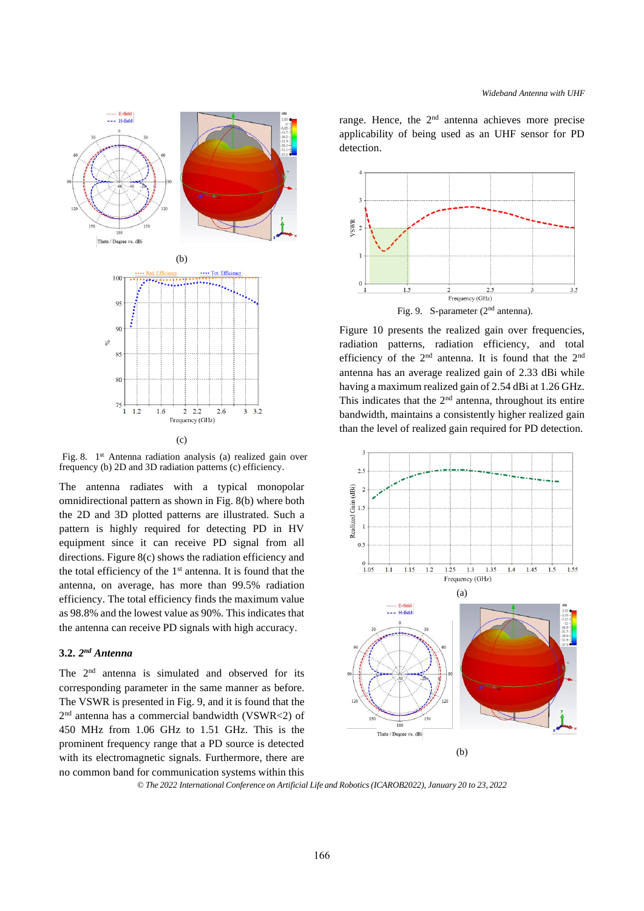

(c)

Fig. 8. 1<sup>st</sup> Antenna radiation analysis (a) realized gain over frequency (b) 2D and 3D radiation patterns (c) efficiency.

The antenna radiates with a typical monopolar omnidirectional pattern as shown in Fig. 8(b) where both the 2D and 3D plotted patterns are illustrated. Such a pattern is highly required for detecting PD in HV equipment since it can receive PD signal from all directions. Figure 8(c) shows the radiation efficiency and the total efficiency of the 1st antenna. It is found that the antenna, on average, has more than 99.5% radiation efficiency. The total efficiency finds the maximum value as 98.8% and the lowest value as 90%. This indicates that the antenna can receive PD signals with high accuracy.

## **3.2.** *2 nd Antenna*

The 2<sup>nd</sup> antenna is simulated and observed for its corresponding parameter in the same manner as before. The VSWR is presented in Fig. 9, and it is found that the 2 nd antenna has a commercial bandwidth (VSWR<2) of 450 MHz from 1.06 GHz to 1.51 GHz. This is the prominent frequency range that a PD source is detected with its electromagnetic signals. Furthermore, there are no common band for communication systems within this

range. Hence, the  $2<sup>nd</sup>$  antenna achieves more precise applicability of being used as an UHF sensor for PD detection.



Figure 10 presents the realized gain over frequencies, radiation patterns, radiation efficiency, and total efficiency of the 2nd antenna. It is found that the 2nd antenna has an average realized gain of 2.33 dBi while having a maximum realized gain of 2.54 dBi at 1.26 GHz. This indicates that the  $2<sup>nd</sup>$  antenna, throughout its entire bandwidth, maintains a consistently higher realized gain than the level of realized gain required for PD detection.



*© The 2022 International Conference on Artificial Life and Robotics(ICAROB2022), January 20 to 23, 2022*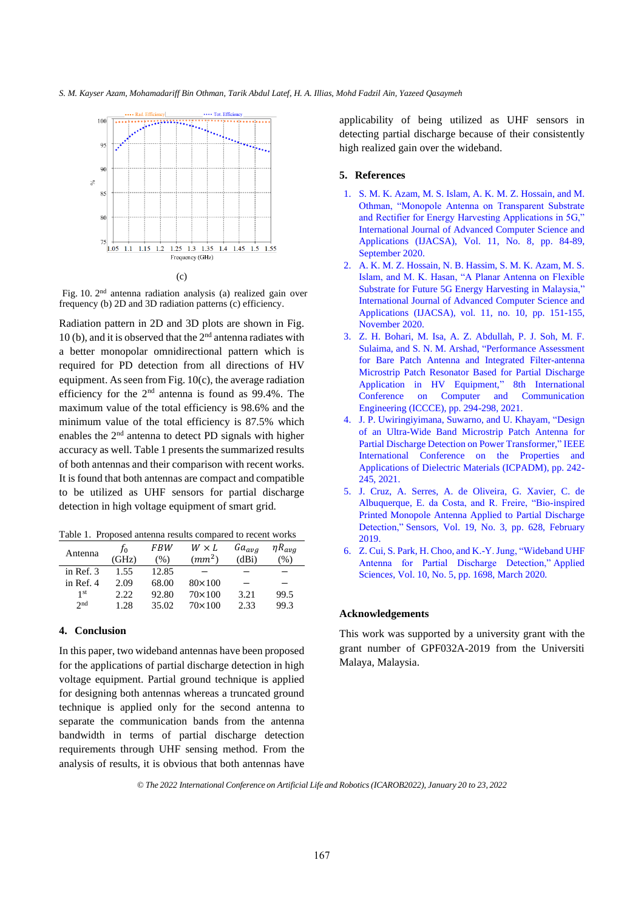

Fig. 10. 2<sup>nd</sup> antenna radiation analysis (a) realized gain over frequency (b) 2D and 3D radiation patterns (c) efficiency.

Radiation pattern in 2D and 3D plots are shown in Fig. 10(b), and it is observed that the  $2<sup>nd</sup>$  antenna radiates with a better monopolar omnidirectional pattern which is required for PD detection from all directions of HV equipment. As seen from Fig.  $10(c)$ , the average radiation efficiency for the 2nd antenna is found as 99.4%. The maximum value of the total efficiency is 98.6% and the minimum value of the total efficiency is 87.5% which enables the  $2<sup>nd</sup>$  antenna to detect PD signals with higher accuracy as well. Table 1 presents the summarized results of both antennas and their comparison with recent works. It is found that both antennas are compact and compatible to be utilized as UHF sensors for partial discharge detection in high voltage equipment of smart grid.

Table 1. Proposed antenna results compared to recent works

| Antenna         | fο<br>(GHz) | FBW<br>(% ) | $W \times L$<br>(mm <sup>2</sup> ) | $Ga_{avg}$<br>(dBi) | $\eta R_{avg}$<br>(%) |
|-----------------|-------------|-------------|------------------------------------|---------------------|-----------------------|
| in Ref. 3       | 1.55        | 12.85       |                                    |                     |                       |
| in Ref. 4       | 2.09        | 68.00       | $80\times100$                      |                     |                       |
| 1 <sub>st</sub> | 2.22.       | 92.80       | $70\times100$                      | 3.21                | 99.5                  |
| 2nd             | 1.28        | 35.02       | $70\times100$                      | 2.33                | 99.3                  |

## **4. Conclusion**

In this paper, two wideband antennas have been proposed for the applications of partial discharge detection in high voltage equipment. Partial ground technique is applied for designing both antennas whereas a truncated ground technique is applied only for the second antenna to separate the communication bands from the antenna bandwidth in terms of partial discharge detection requirements through UHF sensing method. From the analysis of results, it is obvious that both antennas have applicability of being utilized as UHF sensors in detecting partial discharge because of their consistently high realized gain over the wideband.

### **5. References**

- 1. S. M. K. Azam, M. S. Islam, A. K. M. Z. Hossain, and M. Othman, "Monopole Antenna on Transparent Substrate and Rectifier for Energy Harvesting Applications in 5G," International Journal of Advanced Computer Science and Applications (IJACSA), Vol. 11, No. 8, pp. 84-89, September 2020.
- 2. A. K. M. Z. Hossain, N. B. Hassim, S. M. K. Azam, M. S. Islam, and M. K. Hasan, "A Planar Antenna on Flexible Substrate for Future 5G Energy Harvesting in Malaysia," International Journal of Advanced Computer Science and Applications (IJACSA), vol. 11, no. 10, pp. 151-155, November 2020.
- 3. Z. H. Bohari, M. Isa, A. Z. Abdullah, P. J. Soh, M. F. Sulaima, and S. N. M. Arshad, "Performance Assessment for Bare Patch Antenna and Integrated Filter-antenna Microstrip Patch Resonator Based for Partial Discharge Application in HV Equipment," 8th International Conference on Computer and Communication Engineering (ICCCE), pp. 294-298, 2021.
- 4. J. P. Uwiringiyimana, Suwarno, and U. Khayam, "Design of an Ultra-Wide Band Microstrip Patch Antenna for Partial Discharge Detection on Power Transformer," IEEE International Conference on the Properties and Applications of Dielectric Materials (ICPADM), pp. 242- 245, 2021.
- 5. J. Cruz, A. Serres, A. de Oliveira, G. Xavier, C. de Albuquerque, E. da Costa, and R. Freire, "Bio-inspired Printed Monopole Antenna Applied to Partial Discharge Detection," Sensors, Vol. 19, No. 3, pp. 628, February 2019.
- 6. Z. Cui, S. Park, H. Choo, and K.-Y. Jung, "Wideband UHF Antenna for Partial Discharge Detection," Applied Science*s*, Vol. 10, No. 5, pp. 1698, March 2020.

# **Acknowledgements**

This work was supported by a university grant with the grant number of GPF032A-2019 from the Universiti Malaya, Malaysia.